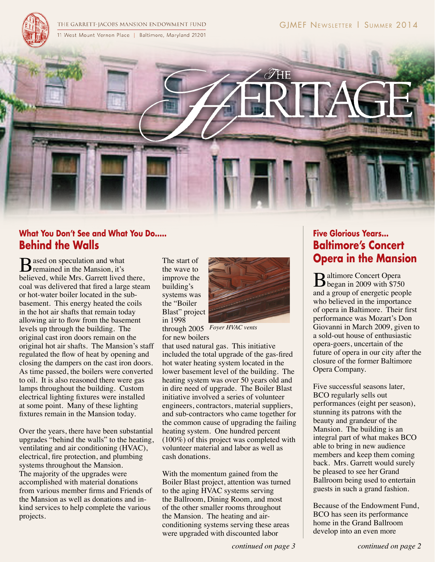

## **What You Don't See and What You Do..... Behind the Walls**

 $\mathbf{B}$  ased on speculation and what remained in the Mansion, it's believed, while Mrs. Garrett lived there, coal was delivered that fired a large steam or hot-water boiler located in the subbasement. This energy heated the coils in the hot air shafts that remain today allowing air to flow from the basement levels up through the building. The original cast iron doors remain on the original hot air shafts. The Mansion's staff regulated the flow of heat by opening and closing the dampers on the cast iron doors. As time passed, the boilers were converted to oil. It is also reasoned there were gas lamps throughout the building. Custom electrical lighting fixtures were installed at some point. Many of these lighting fixtures remain in the Mansion today.

Over the years, there have been substantial upgrades "behind the walls" to the heating, ventilating and air conditioning (HVAC), electrical, fire protection, and plumbing systems throughout the Mansion. The majority of the upgrades were accomplished with material donations from various member firms and Friends of the Mansion as well as donations and inkind services to help complete the various projects.

The start of the wave to improve the building's systems was the "Boiler Blast" project in 1998



through 2005 *Foyer HVAC vents*for new boilers

that used natural gas. This initiative included the total upgrade of the gas-fired hot water heating system located in the lower basement level of the building. The heating system was over 50 years old and in dire need of upgrade. The Boiler Blast initiative involved a series of volunteer engineers, contractors, material suppliers, and sub-contractors who came together for the common cause of upgrading the failing heating system. One hundred percent (100%) of this project was completed with volunteer material and labor as well as cash donations.

With the momentum gained from the Boiler Blast project, attention was turned to the aging HVAC systems serving the Ballroom, Dining Room, and most of the other smaller rooms throughout the Mansion. The heating and airconditioning systems serving these areas were upgraded with discounted labor

#### *continued on page 3 continued on page 2*

# **Five Glorious Years... Baltimore's Concert Opera in the Mansion**

Baltimore Concert Opera<br>
began in 2009 with \$750 and a group of energetic people who believed in the importance of opera in Baltimore. Their first performance was Mozart's Don Giovanni in March 2009, given to a sold-out house of enthusiastic opera-goers, uncertain of the future of opera in our city after the closure of the former Baltimore Opera Company.

Five successful seasons later, BCO regularly sells out performances (eight per season), stunning its patrons with the beauty and grandeur of the Mansion. The building is an integral part of what makes BCO able to bring in new audience members and keep them coming back. Mrs. Garrett would surely be pleased to see her Grand Ballroom being used to entertain guests in such a grand fashion.

Because of the Endowment Fund, BCO has seen its performance home in the Grand Ballroom develop into an even more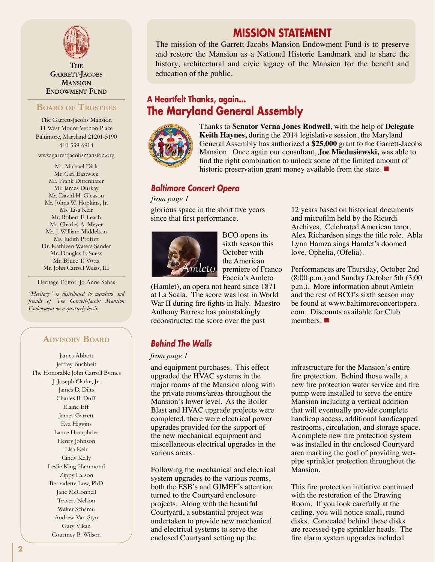

**THE GARRETT-JACOBS MANSION ENDOWMENT FUND** 

#### **Board of Trustees**

The Garrett-Jacobs Mansion 11 West Mount Vernon Place Baltimore, Maryland 21201-5190 410-539-6914

www.garrettjacobsmansion.org

Mr. Michael Dick Mr. Carl Eastwick Mr. Frank Dittenhafer Mr. James Durkay Mr. David H. Gleason Mr. Johns W. Hopkins, Jr. Ms. Lisa Keir Mr. Robert F. Leach Mr. Charles A. Meyer Mr. J. William Middelton Ms. Judith Proffitt Dr. Kathleen Waters Sander Mr. Douglas F. Suess Mr. Bruce T. Votta Mr. John Carroll Weiss, III

Heritage Editor: Jo Anne Sabas

*"Heritage" is distributed to members and friends of The Garrett-Jacobs Mansion Endowment on a quarterly basis.*

## **Advisory Board**

James Abbott Jeffrey Buchheit The Honorable John Carroll Byrnes J. Joseph Clarke, Jr. James D. Dilts Charles B. Duff Elaine Eff James Garrett Eva Higgins Lance Humphries Henry Johnson Lisa Keir Cindy Kelly Leslie King-Hammond Zippy Larson Bernadette Low, PhD Jane McConnell Travers Nelson Walter Schamu Andrew Van Styn Gary Vikan Courtney B. Wilson

## **MISSION STATEMENT**

The mission of the Garrett-Jacobs Mansion Endowment Fund is to preserve and restore the Mansion as a National Historic Landmark and to share the history, architectural and civic legacy of the Mansion for the benefit and education of the public.

## **A Heartfelt Thanks, again... The Maryland General Assembly**



Thanks to **Senator Verna Jones Rodwell**, with the help of **Delegate Keith Haynes,** during the 2014 legislative session, the Maryland General Assembly has authorized a **\$25,000** grant to the Garrett-Jacobs Mansion. Once again our consultant, **Joe Miedusiewski,** was able to find the right combination to unlock some of the limited amount of historic preservation grant money available from the state.  $\blacksquare$ 

#### *Baltimore Concert Opera*

#### *from page 1*

glorious space in the short five years since that first performance.



BCO opens its sixth season this October with the American premiere of Franco Faccio's Amleto

(Hamlet), an opera not heard since 1871 at La Scala. The score was lost in World War II during fire fights in Italy. Maestro Anthony Barrese has painstakingly reconstructed the score over the past

## *Behind The Walls*

#### *from page 1*

and equipment purchases. This effect upgraded the HVAC systems in the major rooms of the Mansion along with the private rooms/areas throughout the Mansion's lower level. As the Boiler Blast and HVAC upgrade projects were completed, there were electrical power upgrades provided for the support of the new mechanical equipment and miscellaneous electrical upgrades in the various areas.

Following the mechanical and electrical system upgrades to the various rooms, both the ESB's and GJMEF's attention turned to the Courtyard enclosure projects. Along with the beautiful Courtyard, a substantial project was undertaken to provide new mechanical and electrical systems to serve the enclosed Courtyard setting up the

12 years based on historical documents and microfilm held by the Ricordi Archives. Celebrated American tenor, Alex Richardson sings the title role. Abla Lynn Hamza sings Hamlet's doomed love, Ophelia, (Ofelia).

Performances are Thursday, October 2nd (8:00 p.m.) and Sunday October 5th (3:00 p.m.). More information about Amleto and the rest of BCO's sixth season may be found at www.baltimoreconcertopera. com. Discounts available for Club members.  $\blacksquare$ 

infrastructure for the Mansion's entire fire protection. Behind those walls, a new fire protection water service and fire pump were installed to serve the entire Mansion including a vertical addition that will eventually provide complete handicap access, additional handicapped restrooms, circulation, and storage space. A complete new fire protection system was installed in the enclosed Courtyard area marking the goal of providing wetpipe sprinkler protection throughout the Mansion.

This fire protection initiative continued with the restoration of the Drawing Room. If you look carefully at the ceiling, you will notice small, round disks. Concealed behind these disks are recessed-type sprinkler heads. The fire alarm system upgrades included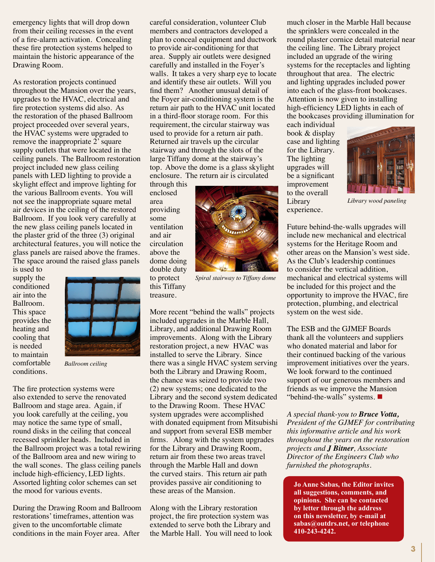emergency lights that will drop down from their ceiling recesses in the event of a fire-alarm activation. Concealing these fire protection systems helped to maintain the historic appearance of the Drawing Room.

As restoration projects continued throughout the Mansion over the years, upgrades to the HVAC, electrical and fire protection systems did also. As the restoration of the phased Ballroom project proceeded over several years, the HVAC systems were upgraded to remove the inappropriate 2' square supply outlets that were located in the ceiling panels. The Ballroom restoration project included new glass ceiling panels with LED lighting to provide a skylight effect and improve lighting for the various Ballroom events. You will not see the inappropriate square metal air devices in the ceiling of the restored Ballroom. If you look very carefully at the new glass ceiling panels located in the plaster grid of the three (3) original architectural features, you will notice the glass panels are raised above the frames. The space around the raised glass panels

is used to supply the conditioned air into the Ballroom. This space provides the heating and cooling that is needed to maintain comfortable conditions.



*Ballroom ceiling*

The fire protection systems were also extended to serve the renovated Ballroom and stage area. Again, if you look carefully at the ceiling, you may notice the same type of small, round disks in the ceiling that conceal recessed sprinkler heads. Included in the Ballroom project was a total rewiring of the Ballroom area and new wiring to the wall scones. The glass ceiling panels include high-efficiency, LED lights. Assorted lighting color schemes can set the mood for various events.

During the Drawing Room and Ballroom restorations' timeframes, attention was given to the uncomfortable climate conditions in the main Foyer area. After

careful consideration, volunteer Club members and contractors developed a plan to conceal equipment and ductwork to provide air-conditioning for that area. Supply air outlets were designed carefully and installed in the Foyer's walls. It takes a very sharp eye to locate and identify these air outlets. Will you find them? Another unusual detail of the Foyer air-conditioning system is the return air path to the HVAC unit located in a third-floor storage room. For this requirement, the circular stairway was used to provide for a return air path. Returned air travels up the circular stairway and through the slots of the large Tiffany dome at the stairway's top. Above the dome is a glass skylight enclosure. The return air is circulated

through this enclosed area providing some ventilation and air circulation above the dome doing double duty to protect this Tiffany treasure.

*Spiral stairway to Tiffany dome*

More recent "behind the walls" projects included upgrades in the Marble Hall, Library, and additional Drawing Room improvements. Along with the Library restoration project, a new HVAC was installed to serve the Library. Since there was a single HVAC system serving both the Library and Drawing Room, the chance was seized to provide two (2) new systems; one dedicated to the Library and the second system dedicated to the Drawing Room. These HVAC system upgrades were accomplished with donated equipment from Mitsubishi and support from several ESB member firms. Along with the system upgrades for the Library and Drawing Room, return air from these two areas travel through the Marble Hall and down the curved stairs. This return air path provides passive air conditioning to these areas of the Mansion.

Along with the Library restoration project, the fire protection system was extended to serve both the Library and the Marble Hall. You will need to look much closer in the Marble Hall because the sprinklers were concealed in the round plaster cornice detail material near the ceiling line. The Library project included an upgrade of the wiring systems for the receptacles and lighting throughout that area. The electric and lighting upgrades included power into each of the glass-front bookcases. Attention is now given to installing high-efficiency LED lights in each of the bookcases providing illumination for

each individual book & display case and lighting for the Library. The lighting upgrades will be a significant improvement to the overall Library experience.



*Library wood paneling*

Future behind-the-walls upgrades will include new mechanical and electrical systems for the Heritage Room and other areas on the Mansion's west side. As the Club's leadership continues to consider the vertical addition, mechanical and electrical systems will be included for this project and the opportunity to improve the HVAC, fire protection, plumbing, and electrical system on the west side.

The ESB and the GJMEF Boards thank all the volunteers and suppliers who donated material and labor for their continued backing of the various improvement initiatives over the years. We look forward to the continued support of our generous members and friends as we improve the Mansion "behind-the-walls" systems.  $\blacksquare$ 

*A special thank-you to Bruce Votta, President of the GJMEF for contributing this informative article and his work throughout the years on the restoration projects and J Bitner, Associate Director of the Engineers Club who furnished the photographs.*

**Jo Anne Sabas, the Editor invites all suggestions, comments, and opinions. She can be contacted by letter through the address on this newsletter, by e-mail at sabas@outdrs.net, or telephone 410-243-4242.**